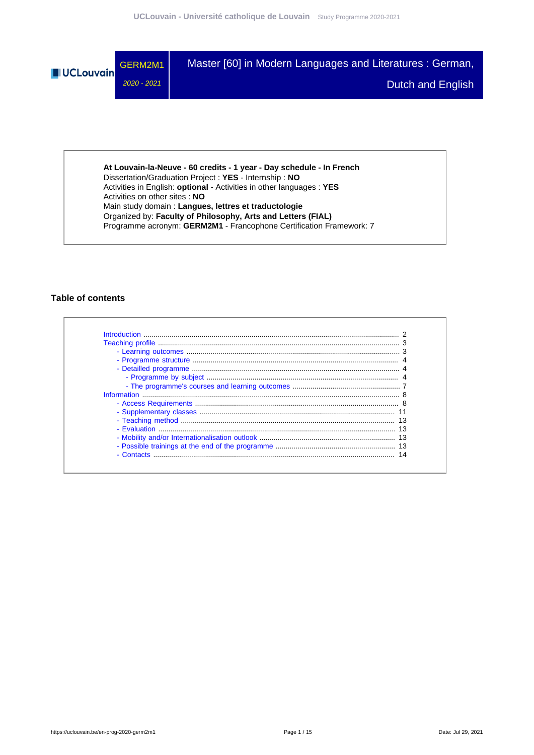

**At Louvain-la-Neuve - 60 credits - 1 year - Day schedule - In French** Dissertation/Graduation Project : **YES** - Internship : **NO** Activities in English: **optional** - Activities in other languages : **YES** Activities on other sites : **NO** Main study domain : **Langues, lettres et traductologie** Organized by: **Faculty of Philosophy, Arts and Letters (FIAL)** Programme acronym: **GERM2M1** - Francophone Certification Framework: 7

## **Table of contents**

| - Contacts |  |
|------------|--|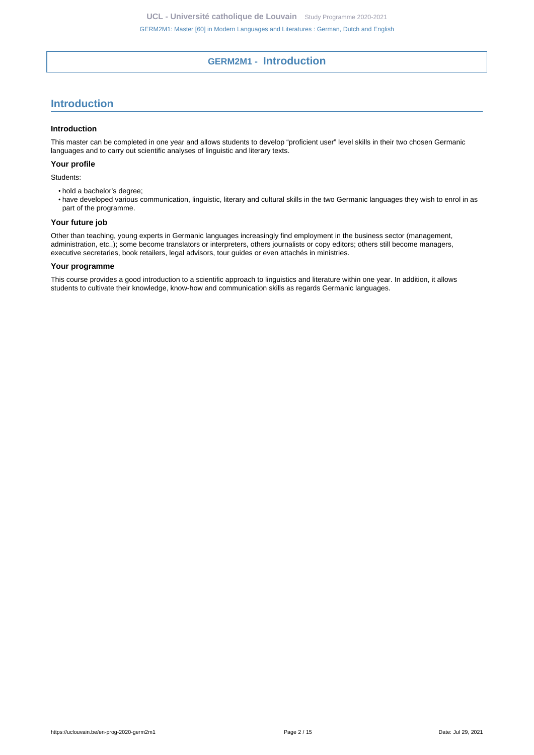# **GERM2M1 - Introduction**

# <span id="page-1-0"></span>**Introduction**

#### **Introduction**

This master can be completed in one year and allows students to develop "proficient user" level skills in their two chosen Germanic languages and to carry out scientific analyses of linguistic and literary texts.

## **Your profile**

Students:

- hold a bachelor's degree;
- have developed various communication, linguistic, literary and cultural skills in the two Germanic languages they wish to enrol in as part of the programme.

## **Your future job**

Other than teaching, young experts in Germanic languages increasingly find employment in the business sector (management, administration, etc.,); some become translators or interpreters, others journalists or copy editors; others still become managers, executive secretaries, book retailers, legal advisors, tour guides or even attachés in ministries.

#### **Your programme**

This course provides a good introduction to a scientific approach to linguistics and literature within one year. In addition, it allows students to cultivate their knowledge, know-how and communication skills as regards Germanic languages.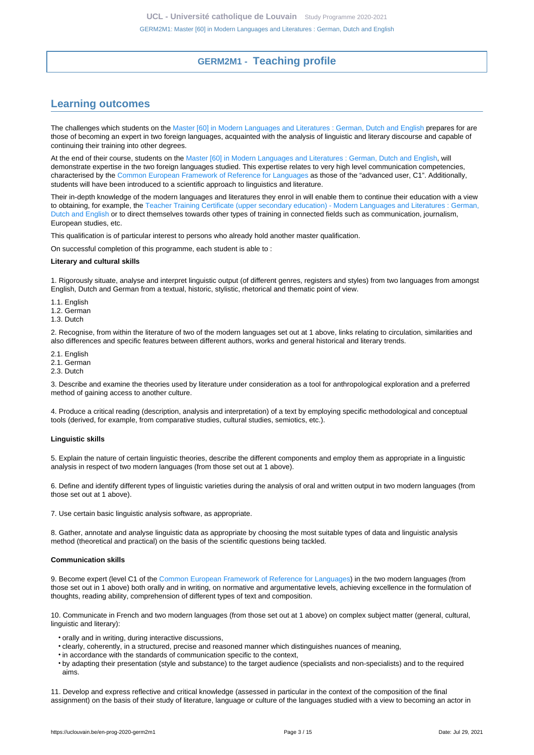# **GERM2M1 - Teaching profile**

# <span id="page-2-1"></span><span id="page-2-0"></span>**Learning outcomes**

The challenges which students on the [Master \[60\] in Modern Languages and Literatures : German, Dutch and English](https://uclouvain.be/en-prog-2020-germ2m1) prepares for are those of becoming an expert in two foreign languages, acquainted with the analysis of linguistic and literary discourse and capable of continuing their training into other degrees.

At the end of their course, students on the [Master \[60\] in Modern Languages and Literatures : German, Dutch and English,](https://uclouvain.be/en-prog-2020-germ2m1) will demonstrate expertise in the two foreign languages studied. This expertise relates to very high level communication competencies, characterised by the [Common European Framework of Reference for Languages](https://www.coe.int/en/web/common-european-framework-reference-languages/level-descriptions) as those of the "advanced user, C1". Additionally, students will have been introduced to a scientific approach to linguistics and literature.

Their in-depth knowledge of the modern languages and literatures they enrol in will enable them to continue their education with a view to obtaining, for example, the [Teacher Training Certificate \(upper secondary education\) - Modern Languages and Literatures : German,](https://uclouvain.be/en-prog-2020-germ2a) [Dutch and English](https://uclouvain.be/en-prog-2020-germ2a) or to direct themselves towards other types of training in connected fields such as communication, journalism, European studies, etc.

This qualification is of particular interest to persons who already hold another master qualification.

On successful completion of this programme, each student is able to :

#### **Literary and cultural skills**

1. Rigorously situate, analyse and interpret linguistic output (of different genres, registers and styles) from two languages from amongst English, Dutch and German from a textual, historic, stylistic, rhetorical and thematic point of view.

- 1.1. English
- 1.2. German
- 1.3. Dutch

2. Recognise, from within the literature of two of the modern languages set out at 1 above, links relating to circulation, similarities and also differences and specific features between different authors, works and general historical and literary trends.

- 2.1. English
- 2.1. German
- 2.3. Dutch

3. Describe and examine the theories used by literature under consideration as a tool for anthropological exploration and a preferred method of gaining access to another culture.

4. Produce a critical reading (description, analysis and interpretation) of a text by employing specific methodological and conceptual tools (derived, for example, from comparative studies, cultural studies, semiotics, etc.).

#### **Linguistic skills**

5. Explain the nature of certain linguistic theories, describe the different components and employ them as appropriate in a linguistic analysis in respect of two modern languages (from those set out at 1 above).

6. Define and identify different types of linguistic varieties during the analysis of oral and written output in two modern languages (from those set out at 1 above).

7. Use certain basic linguistic analysis software, as appropriate.

8. Gather, annotate and analyse linguistic data as appropriate by choosing the most suitable types of data and linguistic analysis method (theoretical and practical) on the basis of the scientific questions being tackled.

#### **Communication skills**

9. Become expert (level C1 of the [Common European Framework of Reference for Languages\)](https://www.coe.int/en/web/common-european-framework-reference-languages/level-descriptions) in the two modern languages (from those set out in 1 above) both orally and in writing, on normative and argumentative levels, achieving excellence in the formulation of thoughts, reading ability, comprehension of different types of text and composition.

10. Communicate in French and two modern languages (from those set out at 1 above) on complex subject matter (general, cultural, linguistic and literary):

- orally and in writing, during interactive discussions,
- clearly, coherently, in a structured, precise and reasoned manner which distinguishes nuances of meaning,
- in accordance with the standards of communication specific to the context,
- by adapting their presentation (style and substance) to the target audience (specialists and non-specialists) and to the required aims.

11. Develop and express reflective and critical knowledge (assessed in particular in the context of the composition of the final assignment) on the basis of their study of literature, language or culture of the languages studied with a view to becoming an actor in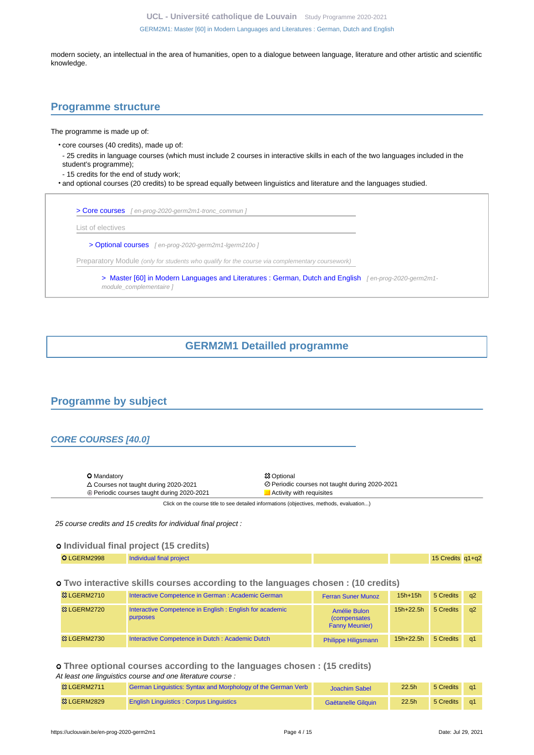**UCL - Université catholique de Louvain** [Study Programme 2020-2021](https://uclouvain.be/en/study-programme) [GERM2M1: Master \[60\] in Modern Languages and Literatures : German, Dutch and English](https://uclouvain.be/en-prog-2020-germ2m1.html)

modern society, an intellectual in the area of humanities, open to a dialogue between language, literature and other artistic and scientific knowledge.

## <span id="page-3-0"></span>**Programme structure**

The programme is made up of:

- core courses (40 credits), made up of:
- 25 credits in language courses (which must include 2 courses in interactive skills in each of the two languages included in the student's programme);
- 15 credits for the end of study work;
- and optional courses (20 credits) to be spread equally between linguistics and literature and the languages studied.

| List of electives                                                                              |  |
|------------------------------------------------------------------------------------------------|--|
| > Optional courses [en-prog-2020-germ2m1-lgerm210o]                                            |  |
| Preparatory Module (only for students who qualify for the course via complementary coursework) |  |

# **GERM2M1 Detailled programme**

# <span id="page-3-2"></span><span id="page-3-1"></span>**Programme by subject**

## **CORE COURSES [40.0]**

|  | <b>O</b> Mandatory<br>$\triangle$ Courses not taught during 2020-2021<br>$\oplus$ Periodic courses taught during 2020-2021 | <b>83 Optional</b><br>⊘ Periodic courses not taught during 2020-2021<br>Activity with requisites |
|--|----------------------------------------------------------------------------------------------------------------------------|--------------------------------------------------------------------------------------------------|
|--|----------------------------------------------------------------------------------------------------------------------------|--------------------------------------------------------------------------------------------------|

Click on the course title to see detailed informations (objectives, methods, evaluation...)

25 course credits and 15 credits for individual final project :

## **Individual final project (15 credits)**

| O LGERM2998 | Individual final project |  | 15 Credits q1+q2 |  |
|-------------|--------------------------|--|------------------|--|
|             |                          |  |                  |  |

## **Two interactive skills courses according to the languages chosen : (10 credits)**

| <b>&amp; LGERM2710</b>  | Interactive Competence in German : Academic German                         | <b>Ferran Suner Munoz</b>                                     | $15h+15h$     | 5 Credits | $\alpha$ |
|-------------------------|----------------------------------------------------------------------------|---------------------------------------------------------------|---------------|-----------|----------|
| <b>惢 LGERM2720</b>      | Interactive Competence in English: English for academic<br><b>purposes</b> | Amélie Bulon<br><i>(compensates)</i><br><b>Fanny Meunier)</b> | $15h + 22.5h$ | 5 Credits | a2       |
| <sup>33</sup> LGERM2730 | Interactive Competence in Dutch: Academic Dutch                            | <b>Philippe Hiligsmann</b>                                    | $15h+22.5h$   | 5 Credits | -a1      |

## **Three optional courses according to the languages chosen : (15 credits)** At least one linguistics course and one literature course :

| <b>83 LGERM2711</b>    | German Linguistics: Syntax and Morphology of the German Verb | <b>Joachim Sabel</b> | 22.5 <sub>h</sub> | 5 Credits |  |
|------------------------|--------------------------------------------------------------|----------------------|-------------------|-----------|--|
| <b>&amp; LGERM2829</b> | <b>English Linguistics: Corpus Linguistics</b>               | Gaëtanelle Gilguin   | 22.5 <sub>h</sub> | 5 Credits |  |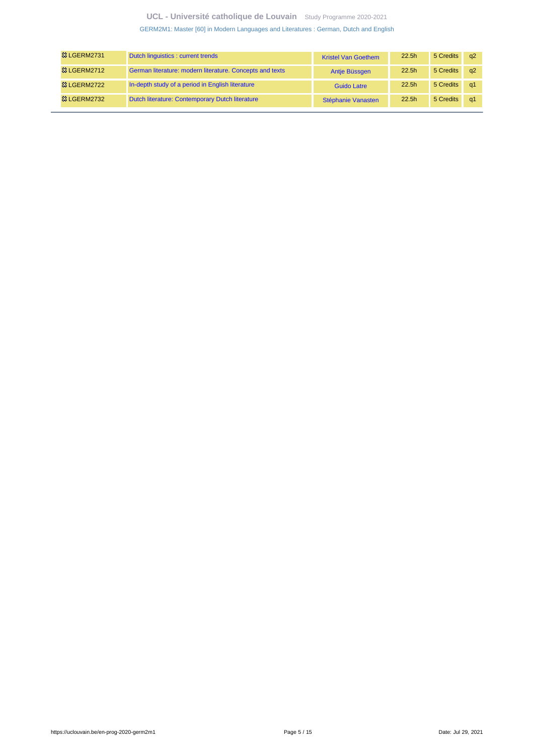## **UCL - Université catholique de Louvain** [Study Programme 2020-2021](https://uclouvain.be/en/study-programme)

[GERM2M1: Master \[60\] in Modern Languages and Literatures : German, Dutch and English](https://uclouvain.be/en-prog-2020-germ2m1.html)

| <b>&amp; LGERM2731</b> | Dutch linguistics : current trends                       | <b>Kristel Van Goethem</b> | 22.5 <sub>h</sub> | 5 Credits | - a2       |
|------------------------|----------------------------------------------------------|----------------------------|-------------------|-----------|------------|
| <b>&amp; LGERM2712</b> | German literature: modern literature. Concepts and texts | Antje Büssgen              | 22.5 <sub>h</sub> | 5 Credits | q2         |
| <b>83 LGERM2722</b>    | In-depth study of a period in English literature         | Guido Latre                | 22.5 <sub>h</sub> | 5 Credits | q1         |
| <sup>3</sup> LGERM2732 | Dutch literature: Contemporary Dutch literature          | Stéphanie Vanasten         | 22.5 <sub>h</sub> | 5 Credits | $\alpha$ 1 |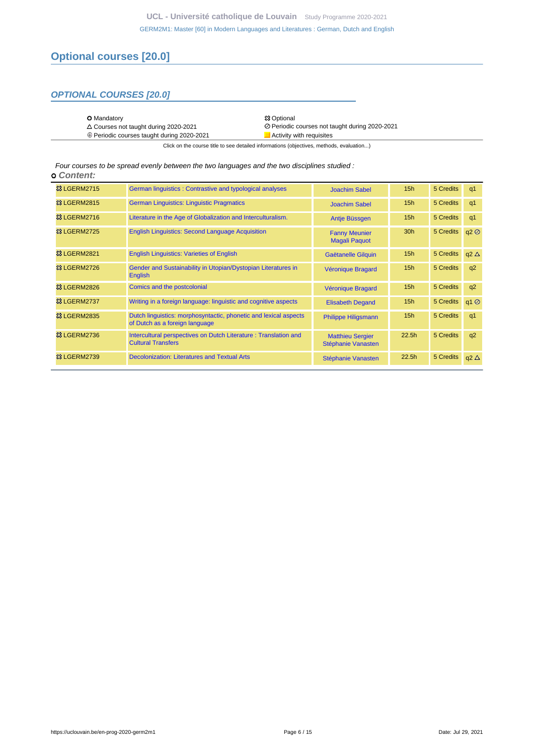# **Optional courses [20.0]**

## **OPTIONAL COURSES [20.0]**

| <b>O</b> Mandatory                                | <b>83 Optional</b>                             |
|---------------------------------------------------|------------------------------------------------|
| $\triangle$ Courses not taught during 2020-2021   | ⊘ Periodic courses not taught during 2020-2021 |
| $\oplus$ Periodic courses taught during 2020-2021 | Activity with requisites                       |

Click on the course title to see detailed informations (objectives, methods, evaluation...)

Four courses to be spread evenly between the two languages and the two disciplines studied :  **Content:**

| <b>83 LGERM2715</b>      | German linguistics: Contrastive and typological analyses                                           | <b>Joachim Sabel</b>                          | 15h               | 5 Credits | q1             |
|--------------------------|----------------------------------------------------------------------------------------------------|-----------------------------------------------|-------------------|-----------|----------------|
| <b>&amp; LGERM2815</b>   | <b>German Linguistics: Linguistic Pragmatics</b>                                                   | <b>Joachim Sabel</b>                          | 15h               | 5 Credits | q1             |
| <sup>3</sup> LGERM2716   | Literature in the Age of Globalization and Interculturalism.                                       | Antie Büssgen                                 | 15h               | 5 Credits | q1             |
| <sup>23</sup> LGERM2725  | <b>English Linguistics: Second Language Acquisition</b>                                            | <b>Fanny Meunier</b><br><b>Magali Paquot</b>  | 30 <sub>h</sub>   | 5 Credits | q2             |
| <b>83 LGERM2821</b>      | <b>English Linguistics: Varieties of English</b>                                                   | Gaëtanelle Gilguin                            | 15h               | 5 Credits | $q2 \Delta$    |
| <b>&amp; LGERM2726</b>   | Gender and Sustainability in Utopian/Dystopian Literatures in<br><b>English</b>                    | Véronique Bragard                             | 15h               | 5 Credits | q2             |
| <sup>33</sup> LGERM2826  | Comics and the postcolonial                                                                        | Véronique Bragard                             | 15h               | 5 Credits | q2             |
| <b>&amp; LGERM2737</b>   | Writing in a foreign language: linguistic and cognitive aspects                                    | <b>Elisabeth Degand</b>                       | 15h               | 5 Credits | q1@            |
| <b>&amp; LGERM2835</b>   | Dutch linguistics: morphosyntactic, phonetic and lexical aspects<br>of Dutch as a foreign language | Philippe Hiligsmann                           | 15h               | 5 Credits | q <sub>1</sub> |
| <sup>3</sup> & LGERM2736 | Intercultural perspectives on Dutch Literature: Translation and<br><b>Cultural Transfers</b>       | <b>Matthieu Sergier</b><br>Stéphanie Vanasten | 22.5 <sub>h</sub> | 5 Credits | q2             |
| <b>&amp; LGERM2739</b>   | <b>Decolonization: Literatures and Textual Arts</b>                                                | Stéphanie Vanasten                            | 22.5 <sub>h</sub> | 5 Credits | $q2 \Delta$    |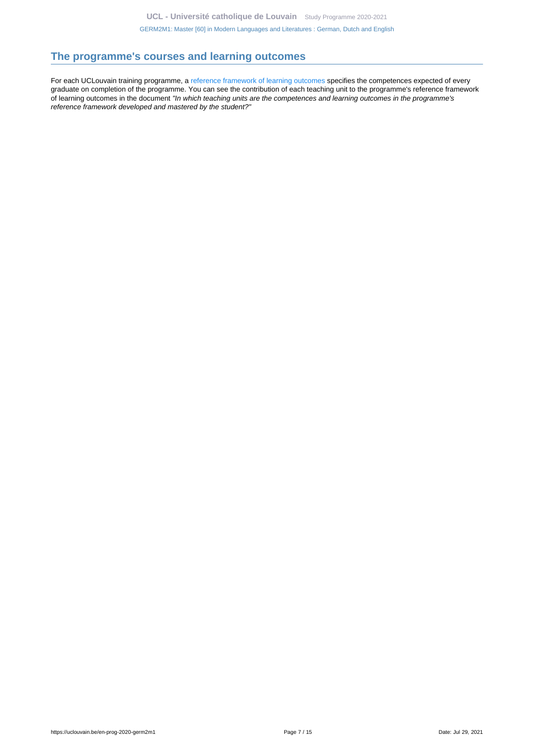# <span id="page-6-0"></span>**The programme's courses and learning outcomes**

For each UCLouvain training programme, a [reference framework of learning outcomes](https://uclouvain.be/en-prog-2020-germ2m1-competences_et_acquis.html) specifies the competences expected of every graduate on completion of the programme. You can see the contribution of each teaching unit to the programme's reference framework of learning outcomes in the document "In which teaching units are the competences and learning outcomes in the programme's reference framework developed and mastered by the student?"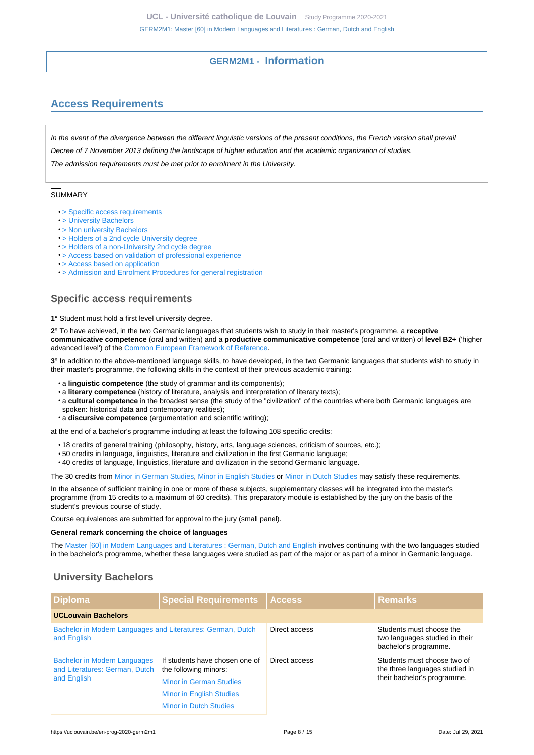## **GERM2M1 - Information**

# <span id="page-7-1"></span><span id="page-7-0"></span>**Access Requirements**

In the event of the divergence between the different linguistic versions of the present conditions, the French version shall prevail Decree of 7 November 2013 defining the landscape of higher education and the academic organization of studies. The admission requirements must be met prior to enrolment in the University.

#### **SUMMARY**

- [> Specific access requirements](#page-7-2)
- [> University Bachelors](#page-7-3)
- [> Non university Bachelors](#page-8-0)
- [> Holders of a 2nd cycle University degree](#page-9-0)
- [> Holders of a non-University 2nd cycle degree](#page-9-1)
- [> Access based on validation of professional experience](#page-9-2)
- [> Access based on application](#page-9-3)
- [> Admission and Enrolment Procedures for general registration](#page-9-4)

## <span id="page-7-2"></span>**Specific access requirements**

**1°** Student must hold a first level university degree.

**2°** To have achieved, in the two Germanic languages that students wish to study in their master's programme, a **receptive communicative competence** (oral and written) and a **productive communicative competence** (oral and written) of **level B2+** ('higher advanced level') of the [Common European Framework of Reference](https://www.coe.int/en/web/common-european-framework-reference-languages/level-descriptions).

**3°** In addition to the above-mentioned language skills, to have developed, in the two Germanic languages that students wish to study in their master's programme, the following skills in the context of their previous academic training:

- a **linguistic competence** (the study of grammar and its components);
- a **literary competence** (history of literature, analysis and interpretation of literary texts);
- a **cultural competence** in the broadest sense (the study of the "civilization" of the countries where both Germanic languages are spoken: historical data and contemporary realities);
- a **discursive competence** (argumentation and scientific writing);

at the end of a bachelor's programme including at least the following 108 specific credits:

- 18 credits of general training (philosophy, history, arts, language sciences, criticism of sources, etc.);
- 50 credits in language, linguistics, literature and civilization in the first Germanic language;
- 40 credits of language, linguistics, literature and civilization in the second Germanic language.

The 30 credits from [Minor in German Studies](https://uclouvain.be/en-prog-2020-minalle), [Minor in English Studies](https://uclouvain.be/en-prog-2020-minangl) or [Minor in Dutch Studies](https://uclouvain.be/en-prog-2020-minneer) may satisfy these requirements.

In the absence of sufficient training in one or more of these subjects, supplementary classes will be integrated into the master's programme (from 15 credits to a maximum of 60 credits). This preparatory module is established by the jury on the basis of the student's previous course of study.

Course equivalences are submitted for approval to the jury (small panel).

#### **General remark concerning the choice of languages**

The [Master \[60\] in Modern Languages and Literatures : German, Dutch and English](https://uclouvain.be/en-prog-2020-germ2m1) involves continuing with the two languages studied in the bachelor's programme, whether these languages were studied as part of the major or as part of a minor in Germanic language.

## <span id="page-7-3"></span>**University Bachelors**

| <b>Diploma</b>                                                             | <b>Special Requirements</b>                             | <b>Access</b> | <b>Remarks</b>                                                                      |
|----------------------------------------------------------------------------|---------------------------------------------------------|---------------|-------------------------------------------------------------------------------------|
| <b>UCLouvain Bachelors</b>                                                 |                                                         |               |                                                                                     |
| Bachelor in Modern Languages and Literatures: German, Dutch<br>and English |                                                         | Direct access | Students must choose the<br>two languages studied in their<br>bachelor's programme. |
| <b>Bachelor in Modern Languages</b><br>and Literatures: German, Dutch      | If students have chosen one of<br>the following minors: | Direct access | Students must choose two of<br>the three languages studied in                       |
| and English                                                                | <b>Minor in German Studies</b>                          |               | their bachelor's programme.                                                         |
|                                                                            | <b>Minor in English Studies</b>                         |               |                                                                                     |
|                                                                            | <b>Minor in Dutch Studies</b>                           |               |                                                                                     |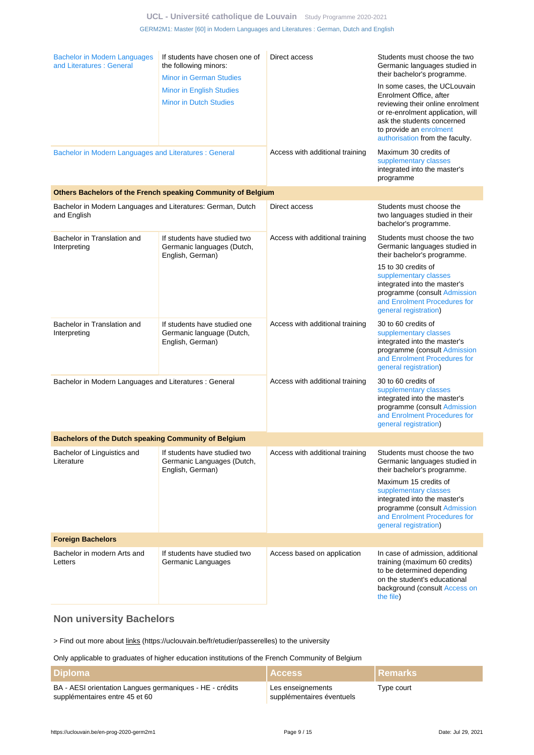## **UCL - Université catholique de Louvain** [Study Programme 2020-2021](https://uclouvain.be/en/study-programme) [GERM2M1: Master \[60\] in Modern Languages and Literatures : German, Dutch and English](https://uclouvain.be/en-prog-2020-germ2m1.html)

|                                                                            |                                                                                           | Direct access                   |                                                                                                                                                                                              |
|----------------------------------------------------------------------------|-------------------------------------------------------------------------------------------|---------------------------------|----------------------------------------------------------------------------------------------------------------------------------------------------------------------------------------------|
| <b>Bachelor in Modern Languages</b><br>and Literatures: General            | If students have chosen one of<br>the following minors:<br><b>Minor in German Studies</b> |                                 | Students must choose the two<br>Germanic languages studied in<br>their bachelor's programme.                                                                                                 |
|                                                                            | <b>Minor in English Studies</b>                                                           |                                 | In some cases, the UCLouvain                                                                                                                                                                 |
|                                                                            | <b>Minor in Dutch Studies</b>                                                             |                                 | Enrolment Office, after<br>reviewing their online enrolment<br>or re-enrolment application, will<br>ask the students concerned<br>to provide an enrolment<br>authorisation from the faculty. |
| Bachelor in Modern Languages and Literatures : General                     |                                                                                           | Access with additional training | Maximum 30 credits of<br>supplementary classes<br>integrated into the master's<br>programme                                                                                                  |
|                                                                            | Others Bachelors of the French speaking Community of Belgium                              |                                 |                                                                                                                                                                                              |
| Bachelor in Modern Languages and Literatures: German, Dutch<br>and English |                                                                                           | Direct access                   | Students must choose the<br>two languages studied in their<br>bachelor's programme.                                                                                                          |
| Bachelor in Translation and<br>Interpreting                                | If students have studied two<br>Germanic languages (Dutch,<br>English, German)            | Access with additional training | Students must choose the two<br>Germanic languages studied in<br>their bachelor's programme.                                                                                                 |
|                                                                            |                                                                                           |                                 | 15 to 30 credits of<br>supplementary classes<br>integrated into the master's<br>programme (consult Admission<br>and Enrolment Procedures for<br>general registration)                        |
| Bachelor in Translation and<br>Interpreting                                | If students have studied one<br>Germanic language (Dutch,<br>English, German)             | Access with additional training | 30 to 60 credits of<br>supplementary classes<br>integrated into the master's<br>programme (consult Admission<br>and Enrolment Procedures for<br>general registration)                        |
| Bachelor in Modern Languages and Literatures : General                     |                                                                                           | Access with additional training | 30 to 60 credits of<br>supplementary classes<br>integrated into the master's<br>programme (consult Admission<br>and Enrolment Procedures for<br>general registration)                        |
| Bachelors of the Dutch speaking Community of Belgium                       |                                                                                           |                                 |                                                                                                                                                                                              |
| Bachelor of Linguistics and<br>Literature                                  | If students have studied two<br>Germanic Languages (Dutch,<br>English, German)            | Access with additional training | Students must choose the two<br>Germanic languages studied in<br>their bachelor's programme.                                                                                                 |
|                                                                            |                                                                                           |                                 | Maximum 15 credits of<br>supplementary classes<br>integrated into the master's<br>programme (consult Admission<br>and Enrolment Procedures for<br>general registration)                      |
| <b>Foreign Bachelors</b>                                                   |                                                                                           |                                 |                                                                                                                                                                                              |
| Bachelor in modern Arts and<br>Letters                                     | If students have studied two<br>Germanic Languages                                        | Access based on application     | In case of admission, additional<br>training (maximum 60 credits)<br>to be determined depending<br>on the student's educational<br>background (consult Access on<br>the file)                |

# <span id="page-8-0"></span>**Non university Bachelors**

> Find out more about links (https://uclouvain.be/fr/etudier/passerelles) to the university

## Only applicable to graduates of higher education institutions of the French Community of Belgium

| ∣ Diploma                                                                                  | <b>Access</b>                                  | <u>I Remarks</u> |
|--------------------------------------------------------------------------------------------|------------------------------------------------|------------------|
| BA - AESI orientation Langues germaniques - HE - crédits<br>supplémentaires entre 45 et 60 | Les enseignements<br>supplémentaires éventuels | Type court       |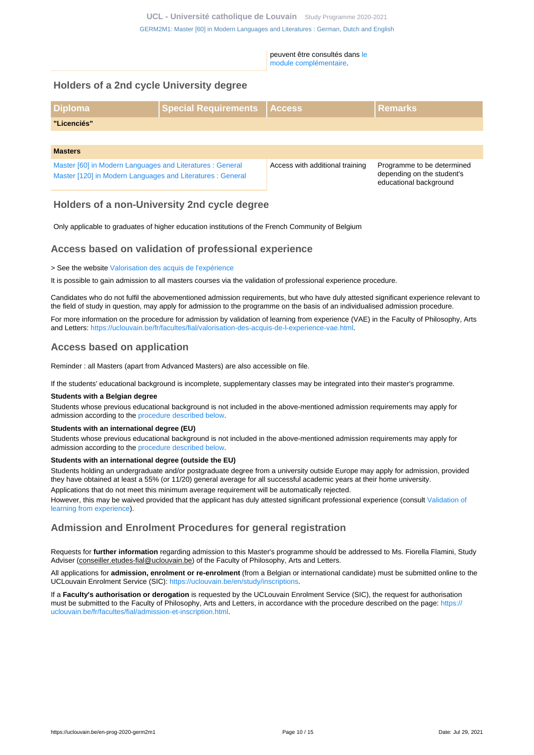peuvent être consultés dans [le](https://uclouvain.be/en-prog-2020-germ2m1-module_complementaire) [module complémentaire](https://uclouvain.be/en-prog-2020-germ2m1-module_complementaire).

## <span id="page-9-0"></span>**Holders of a 2nd cycle University degree**

| <b>Diploma</b>                                                                                                          | Special Requirements Access |                                 | <b>Remarks</b>                                                                     |
|-------------------------------------------------------------------------------------------------------------------------|-----------------------------|---------------------------------|------------------------------------------------------------------------------------|
| "Licenciés"                                                                                                             |                             |                                 |                                                                                    |
|                                                                                                                         |                             |                                 |                                                                                    |
| <b>Masters</b>                                                                                                          |                             |                                 |                                                                                    |
| Master [60] in Modern Languages and Literatures : General<br>Master [120] in Modern Languages and Literatures : General |                             | Access with additional training | Programme to be determined<br>depending on the student's<br>educational background |

## <span id="page-9-1"></span>**Holders of a non-University 2nd cycle degree**

Only applicable to graduates of higher education institutions of the French Community of Belgium

## <span id="page-9-2"></span>**Access based on validation of professional experience**

> See the website [Valorisation des acquis de l'expérience](https://uclouvain.be/fr/etudier/vae)

It is possible to gain admission to all masters courses via the validation of professional experience procedure.

Candidates who do not fulfil the abovementioned admission requirements, but who have duly attested significant experience relevant to the field of study in question, may apply for admission to the programme on the basis of an individualised admission procedure.

For more information on the procedure for admission by validation of learning from experience (VAE) in the Faculty of Philosophy, Arts and Letters:<https://uclouvain.be/fr/facultes/fial/valorisation-des-acquis-de-l-experience-vae.html>.

## <span id="page-9-3"></span>**Access based on application**

Reminder : all Masters (apart from Advanced Masters) are also accessible on file.

If the students' educational background is incomplete, supplementary classes may be integrated into their master's programme.

#### **Students with a Belgian degree**

Students whose previous educational background is not included in the above-mentioned admission requirements may apply for admission according to the [procedure described below](https://uclouvain.be/en-prog-germ2m1-cond_adm#proceduresAdmission).

#### **Students with an international degree (EU)**

Students whose previous educational background is not included in the above-mentioned admission requirements may apply for admission according to the [procedure described below](https://uclouvain.be/en-prog-germ2m1-cond_adm#proceduresAdmission).

#### **Students with an international degree (outside the EU)**

Students holding an undergraduate and/or postgraduate degree from a university outside Europe may apply for admission, provided they have obtained at least a 55% (or 11/20) general average for all successful academic years at their home university.

Applications that do not meet this minimum average requirement will be automatically rejected.

However, this may be waived provided that the applicant has duly attested significant professional experience (consult [Validation of](https://uclouvain.be/prog-2020-germ2m1-cond_adm#adultesRepriseEtudes) [learning from experience\)](https://uclouvain.be/prog-2020-germ2m1-cond_adm#adultesRepriseEtudes).

## <span id="page-9-4"></span>**Admission and Enrolment Procedures for general registration**

Requests for **further information** regarding admission to this Master's programme should be addressed to Ms. Fiorella Flamini, Study Adviser (conseiller.etudes-fial@uclouvain.be) of the Faculty of Philosophy, Arts and Letters.

All applications for **admission, enrolment or re-enrolment** (from a Belgian or international candidate) must be submitted online to the UCLouvain Enrolment Service (SIC): [https://uclouvain.be/en/study/inscriptions.](https://uclouvain.be/en/study/inscriptions)

If a **Faculty's authorisation or derogation** is requested by the UCLouvain Enrolment Service (SIC), the request for authorisation must be submitted to the Faculty of Philosophy, Arts and Letters, in accordance with the procedure described on the page: [https://](https://uclouvain.be/fr/facultes/fial/admission-et-inscription.html) [uclouvain.be/fr/facultes/fial/admission-et-inscription.html.](https://uclouvain.be/fr/facultes/fial/admission-et-inscription.html)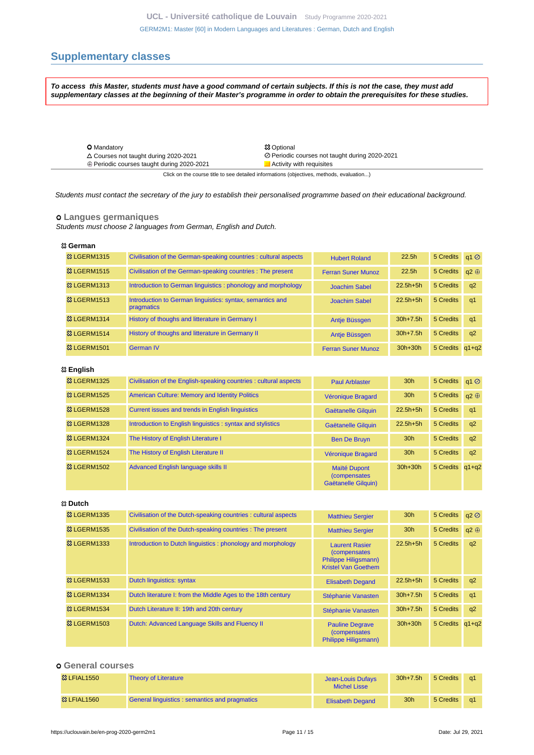[GERM2M1: Master \[60\] in Modern Languages and Literatures : German, Dutch and English](https://uclouvain.be/en-prog-2020-germ2m1.html)

# <span id="page-10-0"></span>**Supplementary classes**

**To access this Master, students must have a good command of certain subjects. If this is not the case, they must add supplementary classes at the beginning of their Master's programme in order to obtain the prerequisites for these studies.**

| <b>O</b> Mandatory                                                                       | <b>83 Optional</b>                             |  |  |  |
|------------------------------------------------------------------------------------------|------------------------------------------------|--|--|--|
| $\triangle$ Courses not taught during 2020-2021                                          | ⊘ Periodic courses not taught during 2020-2021 |  |  |  |
| ⊕ Periodic courses taught during 2020-2021                                               | Activity with requisites                       |  |  |  |
| Click on the course title to see detailed informations (objectives, methods, evaluation) |                                                |  |  |  |

Students must contact the secretary of the jury to establish their personalised programme based on their educational background.

## **Langues germaniques**

Students must choose 2 languages from German, English and Dutch.

#### **German**

| <b>&amp; LGERM1315</b>  | Civilisation of the German-speaking countries : cultural aspects        | <b>Hubert Roland</b>      | 22.5 <sub>h</sub> | 5 Credits q1 Ø  |             |
|-------------------------|-------------------------------------------------------------------------|---------------------------|-------------------|-----------------|-------------|
| <b>&amp; LGERM1515</b>  | Civilisation of the German-speaking countries : The present             | <b>Ferran Suner Munoz</b> | 22.5 <sub>h</sub> | 5 Credits       | $a2 \oplus$ |
| <b>&amp; LGERM1313</b>  | Introduction to German linguistics: phonology and morphology            | <b>Joachim Sabel</b>      | $22.5h + 5h$      | 5 Credits       | q2          |
| <b>&amp; LGERM1513</b>  | Introduction to German linguistics: syntax, semantics and<br>pragmatics | <b>Joachim Sabel</b>      | $22.5h + 5h$      | 5 Credits       | q1          |
| <b>&amp;3 LGERM1314</b> | History of thoughs and litterature in Germany I                         | Antie Büssgen             | $30h+7.5h$        | 5 Credits       | -q1         |
| <b>&amp; LGERM1514</b>  | History of thoughs and litterature in Germany II                        | Antie Büssgen             | $30h+7.5h$        | 5 Credits       | q2          |
| <b>&amp; LGERM1501</b>  | <b>German IV</b>                                                        | <b>Ferran Suner Munoz</b> | $30h+30h$         | 5 Credits q1+q2 |             |

#### **English**

| <b>&amp; LGERM1325</b>  | Civilisation of the English-speaking countries : cultural aspects | <b>Paul Arblaster</b>                                       | 30 <sub>h</sub> | 5 Credits q1 Ø        |    |
|-------------------------|-------------------------------------------------------------------|-------------------------------------------------------------|-----------------|-----------------------|----|
| <b>&amp; LGERM1525</b>  | <b>American Culture: Memory and Identity Politics</b>             | Véronique Bragard                                           | 30 <sub>h</sub> | 5 Credits $q2 \oplus$ |    |
| <b>83 LGERM1528</b>     | Current issues and trends in English linguistics                  | Gaëtanelle Gilguin                                          | $22.5h+5h$      | 5 Credits             | q1 |
| <b>&amp; LGERM1328</b>  | Introduction to English linguistics : syntax and stylistics       | Gaëtanelle Gilguin                                          | $22.5h+5h$      | 5 Credits             | q2 |
| <b>&amp; LGERM1324</b>  | The History of English Literature I                               | <b>Ben De Bruyn</b>                                         | 30 <sub>h</sub> | 5 Credits             | q2 |
| <b>&amp;3 LGERM1524</b> | The History of English Literature II                              | Véronique Bragard                                           | 30 <sub>h</sub> | 5 Credits             | q2 |
| <b>&amp; LGERM1502</b>  | Advanced English language skills II                               | Maïté Dupont<br><i>(compensates)</i><br>Gaëtanelle Gilguin) | $30h+30h$       | 5 Credits q1+q2       |    |

#### **Dutch**

| <b>&amp; LGERM1335</b>  | Civilisation of the Dutch-speaking countries : cultural aspects | <b>Matthieu Sergier</b>                                                                             | 30 <sub>h</sub> | 5 Credits       | q2          |
|-------------------------|-----------------------------------------------------------------|-----------------------------------------------------------------------------------------------------|-----------------|-----------------|-------------|
| <b>&amp; LGERM1535</b>  | Civilisation of the Dutch-speaking countries : The present      | <b>Matthieu Sergier</b>                                                                             | 30 <sub>h</sub> | 5 Credits       | $a2 \oplus$ |
| <b>&amp;3 LGERM1333</b> | Introduction to Dutch linguistics: phonology and morphology     | <b>Laurent Rasier</b><br><i>(compensates)</i><br>Philippe Hiligsmann)<br><b>Kristel Van Goethem</b> | $22.5h+5h$      | 5 Credits       | q2          |
| <b>&amp; LGERM1533</b>  | Dutch linguistics: syntax                                       | <b>Elisabeth Degand</b>                                                                             | $22.5h + 5h$    | 5 Credits       | q2          |
| <b>&amp;3 LGERM1334</b> | Dutch literature I: from the Middle Ages to the 18th century    | Stéphanie Vanasten                                                                                  | $30h + 7.5h$    | 5 Credits       | q1          |
| <b>&amp; LGERM1534</b>  | Dutch Literature II: 19th and 20th century                      | Stéphanie Vanasten                                                                                  | $30h + 7.5h$    | 5 Credits       | q2          |
| <b>&amp; LGERM1503</b>  | Dutch: Advanced Language Skills and Fluency II                  | <b>Pauline Degrave</b><br><i>(compensates)</i><br>Philippe Hiligsmann)                              | $30h+30h$       | 5 Credits q1+q2 |             |

## **General courses**

| <sup>3</sup> LFIAL1550 | <b>Theory of Literature</b>                   | Jean-Louis Dufays<br><b>Michel Lisse</b> | $30h + 7.5h$    | 5 Credits | -a1        |
|------------------------|-----------------------------------------------|------------------------------------------|-----------------|-----------|------------|
| <b>&amp; LFIAL1560</b> | General linguistics: semantics and pragmatics | <b>Elisabeth Degand</b>                  | 30 <sub>h</sub> | 5 Credits | $\alpha$ 1 |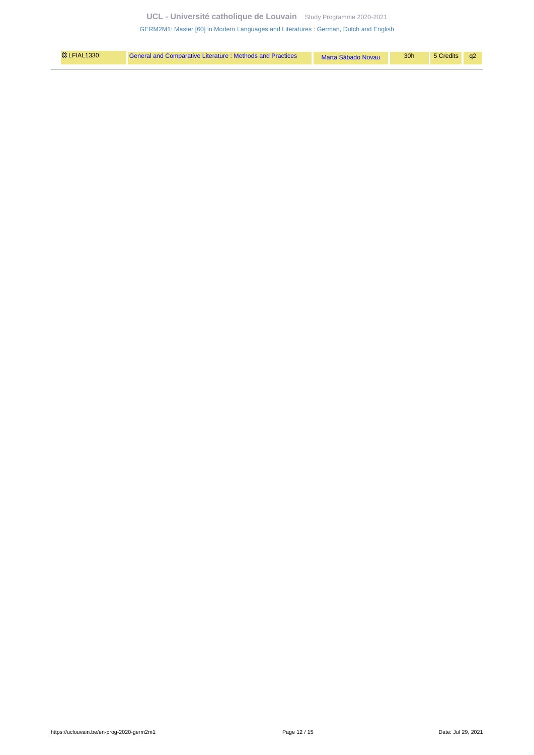**UCL - Université catholique de Louvain** [Study Programme 2020-2021](https://uclouvain.be/en/study-programme)

[GERM2M1: Master \[60\] in Modern Languages and Literatures : German, Dutch and English](https://uclouvain.be/en-prog-2020-germ2m1.html)

| <b>83 LFIAL1330</b> | General and Comparative Literature: Methods and Practices | Marta Sábado Novau | 30 <sub>h</sub> | 5 Credits q2 |  |
|---------------------|-----------------------------------------------------------|--------------------|-----------------|--------------|--|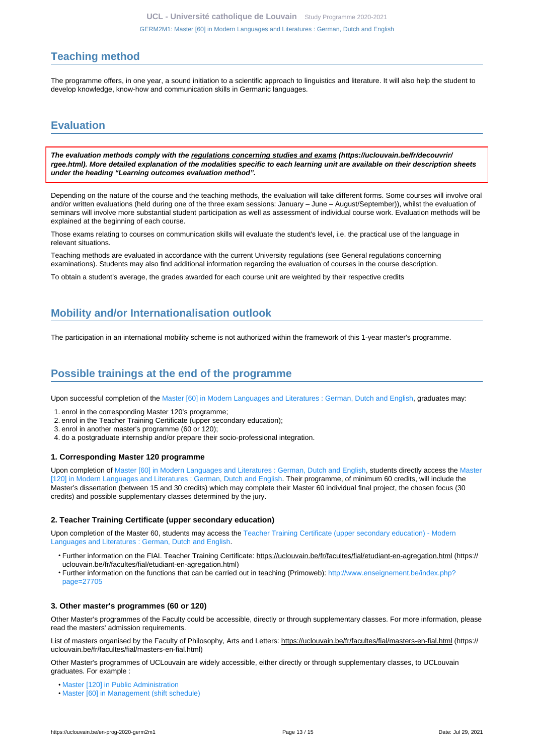# <span id="page-12-0"></span>**Teaching method**

The programme offers, in one year, a sound initiation to a scientific approach to linguistics and literature. It will also help the student to develop knowledge, know-how and communication skills in Germanic languages.

# <span id="page-12-1"></span>**Evaluation**

**The evaluation methods comply with the regulations concerning studies and exams (https://uclouvain.be/fr/decouvrir/ rgee.html). More detailed explanation of the modalities specific to each learning unit are available on their description sheets under the heading "Learning outcomes evaluation method".**

Depending on the nature of the course and the teaching methods, the evaluation will take different forms. Some courses will involve oral and/or written evaluations (held during one of the three exam sessions: January – June – August/September)), whilst the evaluation of seminars will involve more substantial student participation as well as assessment of individual course work. Evaluation methods will be explained at the beginning of each course.

Those exams relating to courses on communication skills will evaluate the student's level, i.e. the practical use of the language in relevant situations.

Teaching methods are evaluated in accordance with the current University regulations (see General regulations concerning examinations). Students may also find additional information regarding the evaluation of courses in the course description.

To obtain a student's average, the grades awarded for each course unit are weighted by their respective credits

# <span id="page-12-2"></span>**Mobility and/or Internationalisation outlook**

The participation in an international mobility scheme is not authorized within the framework of this 1-year master's programme.

# <span id="page-12-3"></span>**Possible trainings at the end of the programme**

Upon successful completion of the [Master \[60\] in Modern Languages and Literatures : German, Dutch and English,](https://uclouvain.be/en-prog-2020-germ2m1) graduates may:

- 1. enrol in the corresponding Master 120's programme;
- 2. enrol in the Teacher Training Certificate (upper secondary education);
- 3. enrol in another master's programme (60 or 120);
- 4. do a postgraduate internship and/or prepare their socio-professional integration.

#### **1. Corresponding Master 120 programme**

Upon completion of [Master \[60\] in Modern Languages and Literatures : German, Dutch and English,](https://uclouvain.be/en-prog-2020-germ2m1) students directly access the [Master](https://uclouvain.be/en-prog-2020-germ2m) [\[120\] in Modern Languages and Literatures : German, Dutch and English.](https://uclouvain.be/en-prog-2020-germ2m) Their programme, of minimum 60 credits, will include the Master's dissertation (between 15 and 30 credits) which may complete their Master 60 individual final project, the chosen focus (30 credits) and possible supplementary classes determined by the jury.

#### **2. Teacher Training Certificate (upper secondary education)**

Upon completion of the Master 60, students may access the [Teacher Training Certificate \(upper secondary education\) - Modern](https://uclouvain.be/en-prog-2020-germ2a) [Languages and Literatures : German, Dutch and English.](https://uclouvain.be/en-prog-2020-germ2a)

- Further information on the FIAL Teacher Training Certificate: https://uclouvain.be/fr/facultes/fial/etudiant-en-agregation.html (https:// uclouvain.be/fr/facultes/fial/etudiant-en-agregation.html)
- Further information on the functions that can be carried out in teaching (Primoweb): [http://www.enseignement.be/index.php?](http://www.enseignement.be/index.php?page=27705) [page=27705](http://www.enseignement.be/index.php?page=27705)

## **3. Other master's programmes (60 or 120)**

Other Master's programmes of the Faculty could be accessible, directly or through supplementary classes. For more information, please read the masters' admission requirements.

List of masters organised by the Faculty of Philosophy, Arts and Letters: https://uclouvain.be/fr/facultes/fial/masters-en-fial.html (https:// uclouvain.be/fr/facultes/fial/masters-en-fial.html)

Other Master's programmes of UCLouvain are widely accessible, either directly or through supplementary classes, to UCLouvain graduates. For example :

- [Master \[120\] in Public Administration](https://uclouvain.be/en-prog-2020-adpu2m)
- [Master \[60\] in Management \(shift schedule\)](https://uclouvain.be/en-prog-2020-gehd2m1)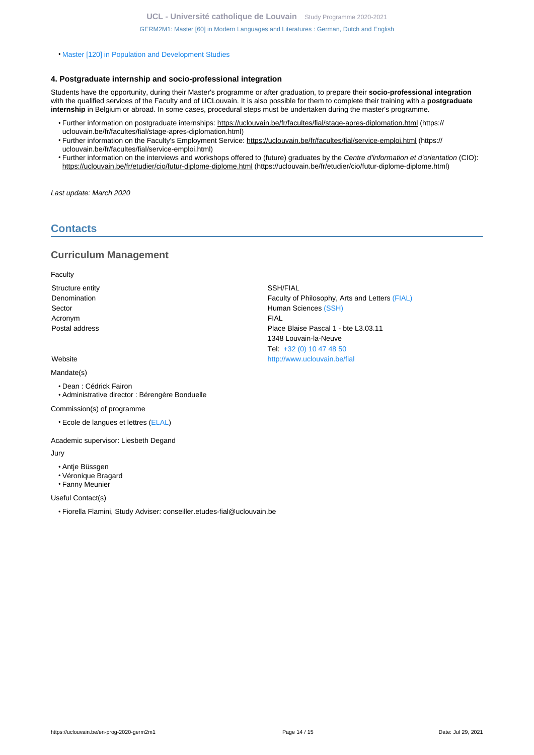• [Master \[120\] in Population and Development Studies](https://uclouvain.be/en-prog-2020-sped2m)

## **4. Postgraduate internship and socio-professional integration**

Students have the opportunity, during their Master's programme or after graduation, to prepare their **socio-professional integration** with the qualified services of the Faculty and of UCLouvain. It is also possible for them to complete their training with a **postgraduate internship** in Belgium or abroad. In some cases, procedural steps must be undertaken during the master's programme.

- Further information on postgraduate internships: https://uclouvain.be/fr/facultes/fial/stage-apres-diplomation.html (https:// uclouvain.be/fr/facultes/fial/stage-apres-diplomation.html)
- Further information on the Faculty's Employment Service: https://uclouvain.be/fr/facultes/fial/service-emploi.html (https:// uclouvain.be/fr/facultes/fial/service-emploi.html)
- Further information on the interviews and workshops offered to (future) graduates by the Centre d'information et d'orientation (CIO): https://uclouvain.be/fr/etudier/cio/futur-diplome-diplome.html (https://uclouvain.be/fr/etudier/cio/futur-diplome-diplome.html)

Last update: March 2020

# <span id="page-13-0"></span>**Contacts**

## **Curriculum Management**

**Faculty** 

Structure entity Structure entity SSH/FIAL Acronym FIAL

#### Mandate(s)

- Dean : Cédrick Fairon
- Administrative director : Bérengère Bonduelle

Commission(s) of programme

• Ecole de langues et lettres ([ELAL](https://uclouvain.be/fr/repertoires/entites/ELAL))

Academic supervisor: Liesbeth Degand

#### Jury

- Antje Büssgen
- Véronique Bragard
- Fanny Meunier

Useful Contact(s)

• Fiorella Flamini, Study Adviser: conseiller.etudes-fial@uclouvain.be

Denomination **Faculty of Philosophy, Arts and Letters [\(FIAL\)](https://uclouvain.be/repertoires/entites/fial)** Faculty of Philosophy, Arts and Letters (FIAL) Sector **Human Sciences** [\(SSH\)](https://uclouvain.be/repertoires/entites/ssh) Postal address **Postal address** Place Blaise Pascal 1 - bte L3.03.11 1348 Louvain-la-Neuve Tel: [+32 \(0\) 10 47 48 50](https://uclouvain.be/tel:+3210474850) Website <http://www.uclouvain.be/fial>